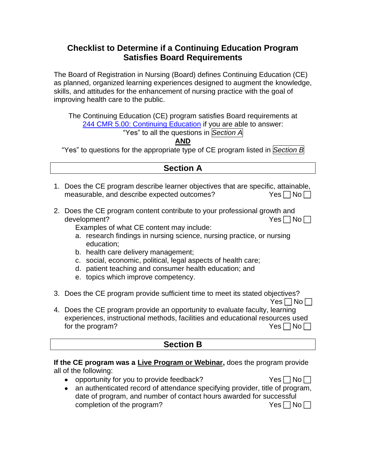# **Checklist to Determine if a Continuing Education Program Satisfies Board Requirements**

The Board of Registration in Nursing (Board) defines Continuing Education (CE) as planned, organized learning experiences designed to augment the knowledge, skills, and attitudes for the enhancement of nursing practice with the goal of improving health care to the public.

The Continuing Education (CE) program satisfies Board requirements at [244 CMR 5.00: Continuing Education](http://www.mass.gov/eohhs/docs/dph/regs/244cmr005.pdf) if you are able to answer:

"Yes" to all the questions in *Section A*

**AND**

"Yes" to questions for the appropriate type of CE program listed in *Section B*

## **Section A**

- 1. Does the CE program describe learner objectives that are specific, attainable, measurable, and describe expected outcomes?  $Yes \cap No \cap$
- 2. Does the CE program content contribute to your professional growth and development?  $\blacksquare$

Examples of what CE content may include:

- a. research findings in nursing science, nursing practice, or nursing education;
- b. health care delivery management;
- c. social, economic, political, legal aspects of health care;
- d. patient teaching and consumer health education; and
- e. topics which improve competency.
- 3. Does the CE program provide sufficient time to meet its stated objectives?
- $Yes \Box No \Box$ 4. Does the CE program provide an opportunity to evaluate faculty, learning experiences, instructional methods, facilities and educational resources used for the program?  $Yes \bigcap No \bigcap$

# **Section B**

**If the CE program was a Live Program or Webinar,** does the program provide all of the following:

• opportunity for you to provide feedback?  $Yes \cap No \cap$ 

| • an authenticated record of attendance specifying provider, title of program, |                    |
|--------------------------------------------------------------------------------|--------------------|
|                                                                                |                    |
| date of program, and number of contact hours awarded for successful            |                    |
| completion of the program?                                                     | $Yes \Box No \Box$ |